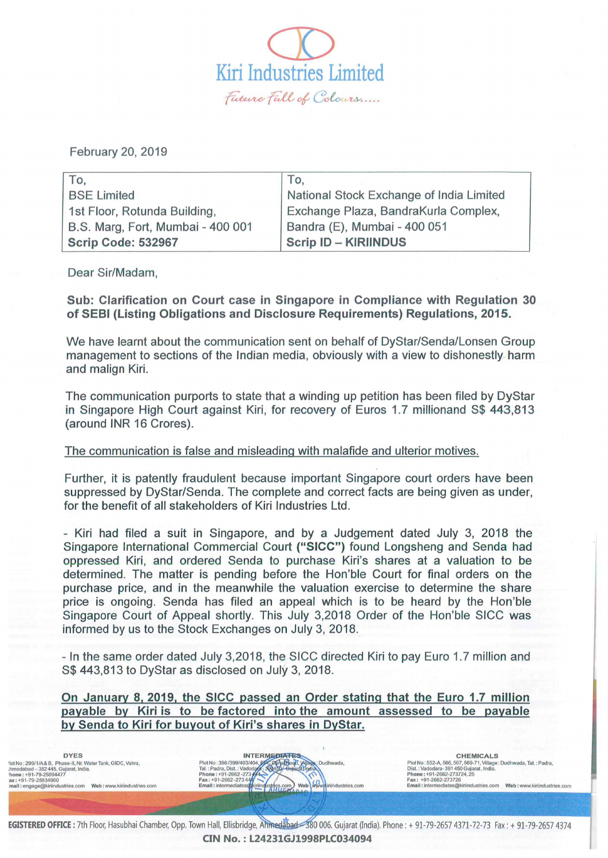$\overline{\mathcal{D}}$ Kiri Industries Limited ~ *{i:ft* ~ *Cdc,* ~ ....

February 20, 2019

| To.                               | To.                                      |
|-----------------------------------|------------------------------------------|
| <b>BSE Limited</b>                | National Stock Exchange of India Limited |
| 1st Floor, Rotunda Building,      | Exchange Plaza, BandraKurla Complex,     |
| B.S. Marg, Fort, Mumbai - 400 001 | Bandra (E), Mumbai - 400 051             |
| Scrip Code: 532967                | <b>Scrip ID - KIRIINDUS</b>              |

Dear Sir/Madam,

Sub: Clarification on Court case in Singapore in Compliance with Regulation 30 of SEBI (Listing Obligations and Disclosure Requirements) Regulations, 201 5.

We have learnt about the communication sent on behalf of DyStar/Senda/Lonsen Group management to sections of the Indian media, obviously with a view to dishonestly. harm and malign Kiri.

The communication purports to state that a winding up petition has been filed by DyStar in Singapore High Court against Kiri, for recovery of Euros 1.7 millionand S\$ 443,813 (around INR 16 Crores).

## The communication is false and misleading with malafide and ulterior motives.

Further, it is patently fraudulent because important Singapore court orders have been suppressed by DyStar/Senda. The complete and correct facts are being given as under, for the benefit of all stakeholders of Kiri Industries Ltd.

- Kiri had filed a suit in Singapore, and by a Judgement dated July 3, 2018 the Singapore International Commercial Court ("SICC") found Longsheng and Senda had oppressed Kiri, and ordered Senda to purchase Kiri's shares at a valuation to be determined. The matter is pending before the Hon'ble Court for final orders on the purchase price, and in the meanwhile the valuation exercise to determine the share price is ongoing. Senda has filed an appeal which is to be heard by the Hon'ble Singapore Court of Appeal shortly. This July 3,2018 Order of the Hon'ble SICC was informed by us to the Stock Exchanges on July 3, 2018.

- In the same order dated July 3,2018, the SICC directed Kiri to pay Euro 1.7 million and S\$ 443,813 to DyStar as disclosed on July 3, 2018.

On January 8.2019. the SICC passed an Order stating that the Euro 1.7 million payable by Kiri is to be factored into the amount assessed to be payable by Senda to Kiri for buyout of Kiri's shares in DyStar.

CHEMICALS<br>
Plot No: 396/399/403/404, PC paper Dudhwada,<br>
Plot No: 552-A, 566, 567, 569-71, Village Plot No: 396/399/403/404, PC paper Dudhwada,<br>
Dist.: Vadodara-391450 Gujarat, India.<br>
Tal.: Padra, Dist.: Vadodara-391450 G "Iolth Aspected Aspected Aspected Aspected Aspected Aspected Aspected Aspected Aspected Aspected Aspected Aspected Aspected Aspected Aspected Aspected Aspected Aspected Aspected Aspected Aspected Aspected Aspected Aspect Plot No : 552-A, 566, 567. 569-71, Village: Oudhwada, Tal.: Padra, Dist. : Vadodara- 391 450 Gujarat , India .

EGISTERED OFFICE: 7th Floor, Hasubhai Chamber, Opp. Town Hall, Ellisbridge, Anmedabad 380 006. Gujarat (India). Phone : + 91-79-2657 4371-72-73 Fax: + 91-79-2657 4374 CIN No.:L24231GJ1998PLC034094